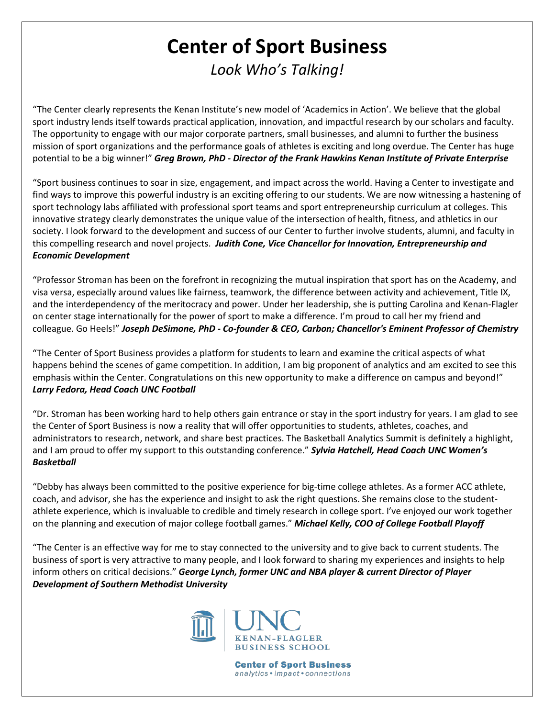## **Center of Sport Business** *Look Who's Talking!*

"The Center clearly represents the Kenan Institute's new model of 'Academics in Action'. We believe that the global sport industry lends itself towards practical application, innovation, and impactful research by our scholars and faculty. The opportunity to engage with our major corporate partners, small businesses, and alumni to further the business mission of sport organizations and the performance goals of athletes is exciting and long overdue. The Center has huge potential to be a big winner!" *Greg Brown, PhD - Director of the Frank Hawkins Kenan Institute of Private Enterprise*

"Sport business continues to soar in size, engagement, and impact across the world. Having a Center to investigate and find ways to improve this powerful industry is an exciting offering to our students. We are now witnessing a hastening of sport technology labs affiliated with professional sport teams and sport entrepreneurship curriculum at colleges. This innovative strategy clearly demonstrates the unique value of the intersection of health, fitness, and athletics in our society. I look forward to the development and success of our Center to further involve students, alumni, and faculty in this compelling research and novel projects. *Judith Cone, Vice Chancellor for Innovation, Entrepreneurship and Economic Development*

"Professor Stroman has been on the forefront in recognizing the mutual inspiration that sport has on the Academy, and visa versa, especially around values like fairness, teamwork, the difference between activity and achievement, Title IX, and the interdependency of the meritocracy and power. Under her leadership, she is putting Carolina and Kenan-Flagler on center stage internationally for the power of sport to make a difference. I'm proud to call her my friend and colleague. Go Heels!" *Joseph DeSimone, PhD - Co-founder & CEO, Carbon; Chancellor's Eminent Professor of Chemistry*

"The Center of Sport Business provides a platform for students to learn and examine the critical aspects of what happens behind the scenes of game competition. In addition, I am big proponent of analytics and am excited to see this emphasis within the Center. Congratulations on this new opportunity to make a difference on campus and beyond!" *Larry Fedora, Head Coach UNC Football*

"Dr. Stroman has been working hard to help others gain entrance or stay in the sport industry for years. I am glad to see the Center of Sport Business is now a reality that will offer opportunities to students, athletes, coaches, and administrators to research, network, and share best practices. The Basketball Analytics Summit is definitely a highlight, and I am proud to offer my support to this outstanding conference." *Sylvia Hatchell, Head Coach UNC Women's Basketball* 

"Debby has always been committed to the positive experience for big-time college athletes. As a former ACC athlete, coach, and advisor, she has the experience and insight to ask the right questions. She remains close to the studentathlete experience, which is invaluable to credible and timely research in college sport. I've enjoyed our work together on the planning and execution of major college football games." *Michael Kelly, COO of College Football Playoff*

"The Center is an effective way for me to stay connected to the university and to give back to current students. The business of sport is very attractive to many people, and I look forward to sharing my experiences and insights to help inform others on critical decisions." *George Lynch, former UNC and NBA player & current Director of Player Development of Southern Methodist University*



**Center of Sport Business** analytics • impact • connections